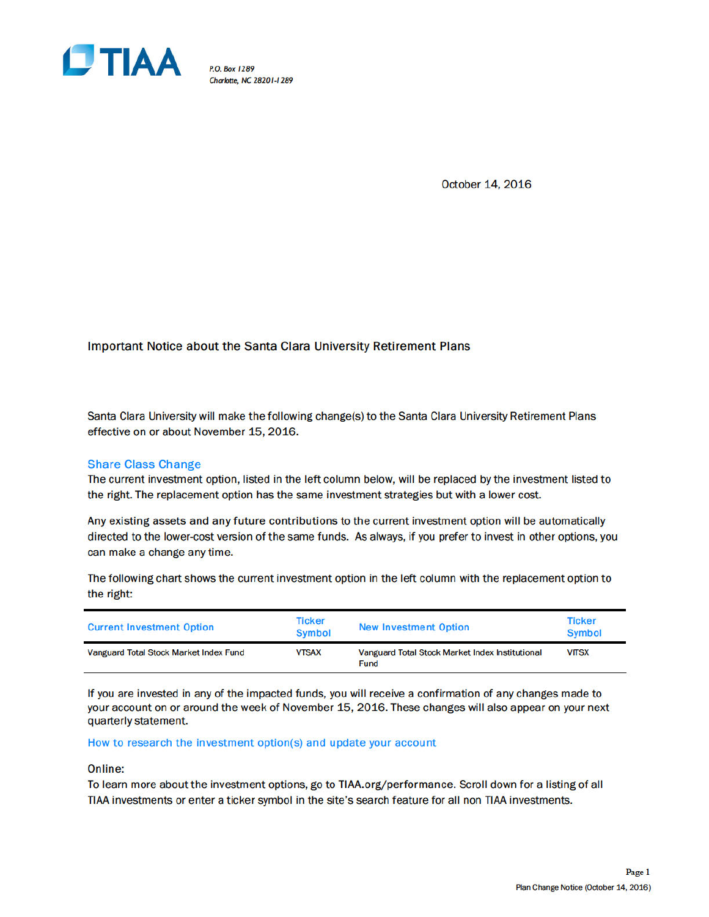

P.O. Box 1289 Charlotte, NC 28201-1289

October 14, 2016

# Important Notice about the Santa Clara University Retirement Plans

Santa Clara University will make the following change(s) to the Santa Clara University Retirement Plans effective on or about November 15, 2016.

# **Share Class Change**

The current investment option, listed in the left column below, will be replaced by the investment listed to the right. The replacement option has the same investment strategies but with a lower cost.

Any existing assets and any future contributions to the current investment option will be automatically directed to the lower-cost version of the same funds. As always, if you prefer to invest in other options, you can make a change any time.

The following chart shows the current investment option in the left column with the replacement option to the right:

| <b>Current Investment Option</b>       | <b>Ticker</b><br><b>Symbol</b> | <b>New Investment Option</b>                                   | Ticker<br><b>Symbol</b> |
|----------------------------------------|--------------------------------|----------------------------------------------------------------|-------------------------|
| Vanguard Total Stock Market Index Fund | <b>VTSAX</b>                   | Vanguard Total Stock Market Index Institutional<br><b>Fund</b> | <b>VITSX</b>            |

If you are invested in any of the impacted funds, you will receive a confirmation of any changes made to your account on or around the week of November 15, 2016. These changes will also appear on your next quarterly statement.

How to research the investment option(s) and update your account

# Online:

To learn more about the investment options, go to TIAA.org/performance. Scroll down for a listing of all TIAA investments or enter a ticker symbol in the site's search feature for all non TIAA investments.